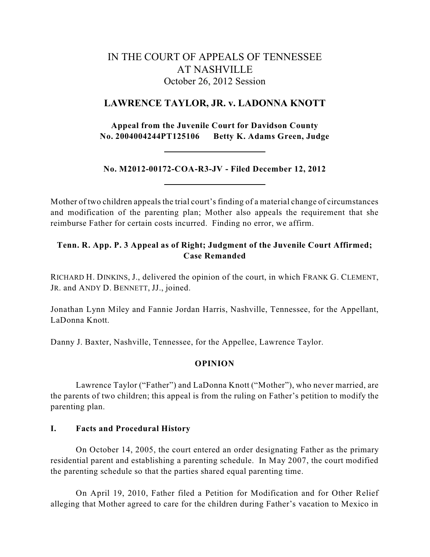# IN THE COURT OF APPEALS OF TENNESSEE AT NASHVILLE October 26, 2012 Session

## **LAWRENCE TAYLOR, JR. v. LADONNA KNOTT**

**Appeal from the Juvenile Court for Davidson County No. 2004004244PT125106 Betty K. Adams Green, Judge**

**No. M2012-00172-COA-R3-JV - Filed December 12, 2012**

Mother of two children appeals the trial court's finding of a material change of circumstances and modification of the parenting plan; Mother also appeals the requirement that she reimburse Father for certain costs incurred. Finding no error, we affirm.

## **Tenn. R. App. P. 3 Appeal as of Right; Judgment of the Juvenile Court Affirmed; Case Remanded**

RICHARD H. DINKINS, J., delivered the opinion of the court, in which FRANK G. CLEMENT, JR. and ANDY D. BENNETT, JJ., joined.

Jonathan Lynn Miley and Fannie Jordan Harris, Nashville, Tennessee, for the Appellant, LaDonna Knott.

Danny J. Baxter, Nashville, Tennessee, for the Appellee, Lawrence Taylor.

## **OPINION**

Lawrence Taylor ("Father") and LaDonna Knott ("Mother"), who never married, are the parents of two children; this appeal is from the ruling on Father's petition to modify the parenting plan.

### **I. Facts and Procedural History**

On October 14, 2005, the court entered an order designating Father as the primary residential parent and establishing a parenting schedule. In May 2007, the court modified the parenting schedule so that the parties shared equal parenting time.

On April 19, 2010, Father filed a Petition for Modification and for Other Relief alleging that Mother agreed to care for the children during Father's vacation to Mexico in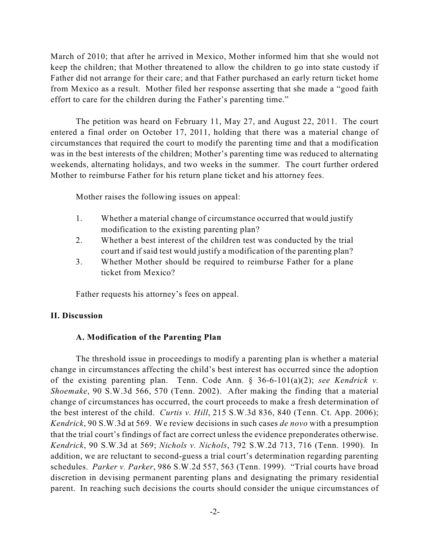March of 2010; that after he arrived in Mexico, Mother informed him that she would not keep the children; that Mother threatened to allow the children to go into state custody if Father did not arrange for their care; and that Father purchased an early return ticket home from Mexico as a result. Mother filed her response asserting that she made a "good faith effort to care for the children during the Father's parenting time."

The petition was heard on February 11, May 27, and August 22, 2011. The court entered a final order on October 17, 2011, holding that there was a material change of circumstances that required the court to modify the parenting time and that a modification was in the best interests of the children; Mother's parenting time was reduced to alternating weekends, alternating holidays, and two weeks in the summer. The court further ordered Mother to reimburse Father for his return plane ticket and his attorney fees.

Mother raises the following issues on appeal:

- 1. Whether a material change of circumstance occurred that would justify modification to the existing parenting plan?
- 2. Whether a best interest of the children test was conducted by the trial court and if said test would justify a modification of the parenting plan?
- 3. Whether Mother should be required to reimburse Father for a plane ticket from Mexico?

Father requests his attorney's fees on appeal.

#### **II. Discussion**

#### **A. Modification of the Parenting Plan**

The threshold issue in proceedings to modify a parenting plan is whether a material change in circumstances affecting the child's best interest has occurred since the adoption of the existing parenting plan. Tenn. Code Ann. § 36-6-101(a)(2); *see Kendrick v. Shoemake*, 90 S.W.3d 566, 570 (Tenn. 2002). After making the finding that a material change of circumstances has occurred, the court proceeds to make a fresh determination of the best interest of the child. *Curtis v. Hill*, 215 S.W.3d 836, 840 (Tenn. Ct. App. 2006); *Kendrick*, 90 S.W.3d at 569. We review decisions in such cases *de novo* with a presumption that the trial court's findings of fact are correct unless the evidence preponderates otherwise. *Kendrick*, 90 S.W.3d at 569; *Nichols v. Nichols*, 792 S.W.2d 713, 716 (Tenn. 1990). In addition, we are reluctant to second-guess a trial court's determination regarding parenting schedules. *Parker v. Parker*, 986 S.W.2d 557, 563 (Tenn. 1999). "Trial courts have broad discretion in devising permanent parenting plans and designating the primary residential parent. In reaching such decisions the courts should consider the unique circumstances of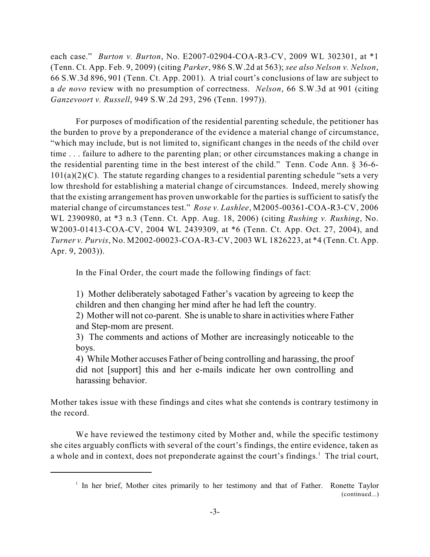each case." *Burton v. Burton*, No. E2007-02904-COA-R3-CV, 2009 WL 302301, at \*1 (Tenn. Ct. App. Feb. 9, 2009) (citing *Parker*, 986 S.W.2d at 563); *see also Nelson v. Nelson*, 66 S.W.3d 896, 901 (Tenn. Ct. App. 2001). A trial court's conclusions of law are subject to a *de novo* review with no presumption of correctness. *Nelson*, 66 S.W.3d at 901 (citing *Ganzevoort v. Russell*, 949 S.W.2d 293, 296 (Tenn. 1997)).

For purposes of modification of the residential parenting schedule, the petitioner has the burden to prove by a preponderance of the evidence a material change of circumstance, "which may include, but is not limited to, significant changes in the needs of the child over time . . . failure to adhere to the parenting plan; or other circumstances making a change in the residential parenting time in the best interest of the child." Tenn. Code Ann. § 36-6-  $101(a)(2)(C)$ . The statute regarding changes to a residential parenting schedule "sets a very low threshold for establishing a material change of circumstances. Indeed, merely showing that the existing arrangement has proven unworkable for the parties is sufficient to satisfy the material change of circumstances test." *Rose v. Lashlee*, M2005-00361-COA-R3-CV, 2006 WL 2390980, at \*3 n.3 (Tenn. Ct. App. Aug. 18, 2006) (citing *Rushing v. Rushing*, No. W2003-01413-COA-CV, 2004 WL 2439309, at \*6 (Tenn. Ct. App. Oct. 27, 2004), and *Turner v. Purvis*, No. M2002-00023-COA-R3-CV, 2003 WL 1826223, at \*4 (Tenn. Ct. App. Apr. 9, 2003)).

In the Final Order, the court made the following findings of fact:

1) Mother deliberately sabotaged Father's vacation by agreeing to keep the children and then changing her mind after he had left the country.

2) Mother will not co-parent. She is unable to share in activities where Father and Step-mom are present.

3) The comments and actions of Mother are increasingly noticeable to the boys.

4) While Mother accuses Father of being controlling and harassing, the proof did not [support] this and her e-mails indicate her own controlling and harassing behavior.

Mother takes issue with these findings and cites what she contends is contrary testimony in the record.

We have reviewed the testimony cited by Mother and, while the specific testimony she cites arguably conflicts with several of the court's findings, the entire evidence, taken as a whole and in context, does not preponderate against the court's findings.<sup>1</sup> The trial court,

<sup>&</sup>lt;sup>1</sup> In her brief, Mother cites primarily to her testimony and that of Father. Ronette Taylor (continued...)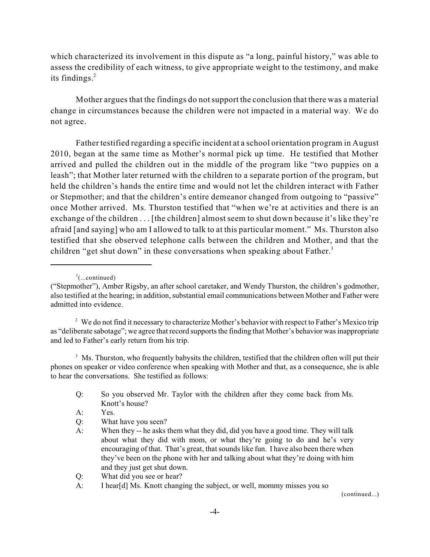which characterized its involvement in this dispute as "a long, painful history," was able to assess the credibility of each witness, to give appropriate weight to the testimony, and make its findings. 2

Mother argues that the findings do notsupport the conclusion that there was a material change in circumstances because the children were not impacted in a material way. We do not agree.

Father testified regarding a specific incident at a school orientation program in August 2010, began at the same time as Mother's normal pick up time. He testified that Mother arrived and pulled the children out in the middle of the program like "two puppies on a leash"; that Mother later returned with the children to a separate portion of the program, but held the children's hands the entire time and would not let the children interact with Father or Stepmother; and that the children's entire demeanor changed from outgoing to "passive" once Mother arrived. Ms. Thurston testified that "when we're at activities and there is an exchange of the children . . . [the children] almost seem to shut down because it's like they're afraid [and saying] who am I allowed to talk to at this particular moment." Ms. Thurston also testified that she observed telephone calls between the children and Mother, and that the children "get shut down" in these conversations when speaking about Father.<sup>3</sup>

 $\cdot$ <sup>1</sup>(...continued)

 $<sup>2</sup>$  We do not find it necessary to characterize Mother's behavior with respect to Father's Mexico trip</sup> as "deliberate sabotage"; we agree that record supports the finding that Mother's behavior was inappropriate and led to Father's early return from his trip.

<sup>3</sup> Ms. Thurston, who frequently babysits the children, testified that the children often will put their phones on speaker or video conference when speaking with Mother and that, as a consequence, she is able to hear the conversations. She testified as follows:

Q: So you observed Mr. Taylor with the children after they come back from Ms. Knott's house?

- Q: What have you seen?
- A: When they -- he asks them what they did, did you have a good time. They will talk about what they did with mom, or what they're going to do and he's very encouraging of that. That's great, that sounds like fun. I have also been there when they've been on the phone with her and talking about what they're doing with him and they just get shut down.
- Q: What did you see or hear?
- A: I hear[d] Ms. Knott changing the subject, or well, mommy misses you so

(continued...)

<sup>(&</sup>quot;Stepmother"), Amber Rigsby, an after school caretaker, and Wendy Thurston, the children's godmother, also testified at the hearing; in addition, substantial email communications between Mother and Father were admitted into evidence.

A: Yes.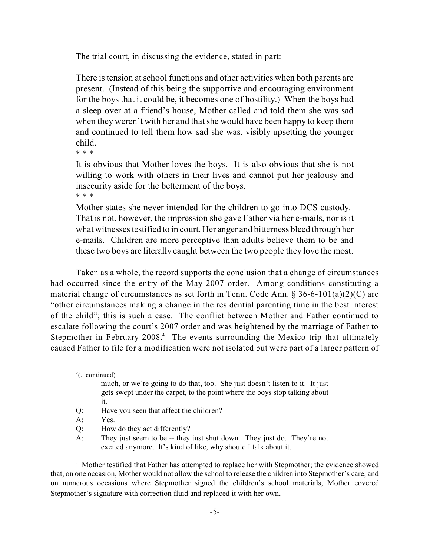The trial court, in discussing the evidence, stated in part:

There is tension at school functions and other activities when both parents are present. (Instead of this being the supportive and encouraging environment for the boys that it could be, it becomes one of hostility.) When the boys had a sleep over at a friend's house, Mother called and told them she was sad when they weren't with her and that she would have been happy to keep them and continued to tell them how sad she was, visibly upsetting the younger child.

\* \* \*

It is obvious that Mother loves the boys. It is also obvious that she is not willing to work with others in their lives and cannot put her jealousy and insecurity aside for the betterment of the boys.

\* \* \*

Mother states she never intended for the children to go into DCS custody. That is not, however, the impression she gave Father via her e-mails, nor is it what witnesses testified to in court. Her anger and bitterness bleed through her e-mails. Children are more perceptive than adults believe them to be and these two boys are literally caught between the two people they love the most.

Taken as a whole, the record supports the conclusion that a change of circumstances had occurred since the entry of the May 2007 order. Among conditions constituting a material change of circumstances as set forth in Tenn. Code Ann. § 36-6-101(a)(2)(C) are "other circumstances making a change in the residential parenting time in the best interest of the child"; this is such a case. The conflict between Mother and Father continued to escalate following the court's 2007 order and was heightened by the marriage of Father to Stepmother in February  $2008<sup>4</sup>$  The events surrounding the Mexico trip that ultimately caused Father to file for a modification were not isolated but were part of a larger pattern of

 $\sigma^3$ (...continued)

Q: Have you seen that affect the children?

<sup>4</sup> Mother testified that Father has attempted to replace her with Stepmother; the evidence showed that, on one occasion, Mother would not allow the school to release the children into Stepmother's care, and on numerous occasions where Stepmother signed the children's school materials, Mother covered Stepmother's signature with correction fluid and replaced it with her own.

much, or we're going to do that, too. She just doesn't listen to it. It just gets swept under the carpet, to the point where the boys stop talking about it.

A: Yes.

Q: How do they act differently?

A: They just seem to be -- they just shut down. They just do. They're not excited anymore. It's kind of like, why should I talk about it.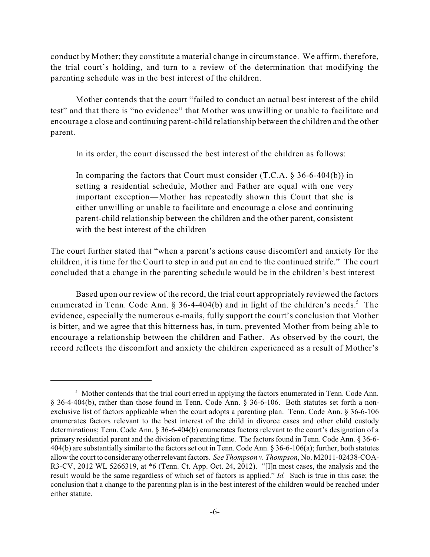conduct by Mother; they constitute a material change in circumstance. We affirm, therefore, the trial court's holding, and turn to a review of the determination that modifying the parenting schedule was in the best interest of the children.

Mother contends that the court "failed to conduct an actual best interest of the child test" and that there is "no evidence" that Mother was unwilling or unable to facilitate and encourage a close and continuing parent-child relationship between the children and the other parent.

In its order, the court discussed the best interest of the children as follows:

In comparing the factors that Court must consider  $(T.C.A. § 36-6-404(b))$  in setting a residential schedule, Mother and Father are equal with one very important exception—Mother has repeatedly shown this Court that she is either unwilling or unable to facilitate and encourage a close and continuing parent-child relationship between the children and the other parent, consistent with the best interest of the children

The court further stated that "when a parent's actions cause discomfort and anxiety for the children, it is time for the Court to step in and put an end to the continued strife." The court concluded that a change in the parenting schedule would be in the children's best interest

Based upon our review of the record, the trial court appropriately reviewed the factors enumerated in Tenn. Code Ann.  $\S 36-4-404(b)$  and in light of the children's needs.<sup>5</sup> The evidence, especially the numerous e-mails, fully support the court's conclusion that Mother is bitter, and we agree that this bitterness has, in turn, prevented Mother from being able to encourage a relationship between the children and Father. As observed by the court, the record reflects the discomfort and anxiety the children experienced as a result of Mother's

<sup>&</sup>lt;sup>5</sup> Mother contends that the trial court erred in applying the factors enumerated in Tenn. Code Ann. § 36-4-404(b), rather than those found in Tenn. Code Ann. § 36-6-106. Both statutes set forth a nonexclusive list of factors applicable when the court adopts a parenting plan. Tenn. Code Ann. § 36-6-106 enumerates factors relevant to the best interest of the child in divorce cases and other child custody determinations; Tenn. Code Ann. § 36-6-404(b) enumerates factors relevant to the court's designation of a primary residential parent and the division of parenting time. The factors found in Tenn. Code Ann. § 36-6- 404(b) are substantially similar to the factors set out in Tenn. Code Ann. § 36-6-106(a); further, both statutes allow the court to consider any otherrelevant factors. *See Thompson v. Thompson*, No. M2011-02438-COA-R3-CV, 2012 WL 5266319, at \*6 (Tenn. Ct. App. Oct. 24, 2012). "[I]n most cases, the analysis and the result would be the same regardless of which set of factors is applied." *Id.* Such is true in this case; the conclusion that a change to the parenting plan is in the best interest of the children would be reached under either statute.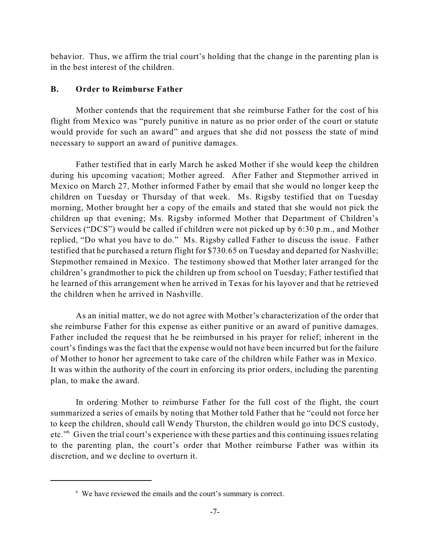behavior. Thus, we affirm the trial court's holding that the change in the parenting plan is in the best interest of the children.

## **B. Order to Reimburse Father**

Mother contends that the requirement that she reimburse Father for the cost of his flight from Mexico was "purely punitive in nature as no prior order of the court or statute would provide for such an award" and argues that she did not possess the state of mind necessary to support an award of punitive damages.

Father testified that in early March he asked Mother if she would keep the children during his upcoming vacation; Mother agreed. After Father and Stepmother arrived in Mexico on March 27, Mother informed Father by email that she would no longer keep the children on Tuesday or Thursday of that week. Ms. Rigsby testified that on Tuesday morning, Mother brought her a copy of the emails and stated that she would not pick the children up that evening; Ms. Rigsby informed Mother that Department of Children's Services ("DCS") would be called if children were not picked up by 6:30 p.m., and Mother replied, "Do what you have to do." Ms. Rigsby called Father to discuss the issue. Father testified that he purchased a return flight for \$730.65 on Tuesday and departed for Nashville; Stepmother remained in Mexico. The testimony showed that Mother later arranged for the children's grandmother to pick the children up from school on Tuesday; Father testified that he learned of this arrangement when he arrived in Texas for his layover and that he retrieved the children when he arrived in Nashville.

As an initial matter, we do not agree with Mother's characterization of the order that she reimburse Father for this expense as either punitive or an award of punitive damages. Father included the request that he be reimbursed in his prayer for relief; inherent in the court's findings was the fact that the expense would not have been incurred but for the failure of Mother to honor her agreement to take care of the children while Father was in Mexico. It was within the authority of the court in enforcing its prior orders, including the parenting plan, to make the award.

In ordering Mother to reimburse Father for the full cost of the flight, the court summarized a series of emails by noting that Mother told Father that he "could not force her to keep the children, should call Wendy Thurston, the children would go into DCS custody, etc." Given the trial court's experience with these parties and this continuing issues relating to the parenting plan, the court's order that Mother reimburse Father was within its discretion, and we decline to overturn it.

<sup>&</sup>lt;sup>6</sup> We have reviewed the emails and the court's summary is correct.